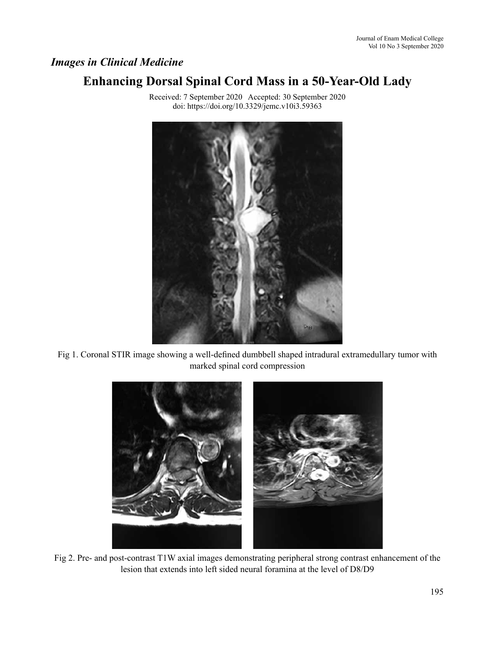## *Images in Clinical Medicine*

# **Enhancing Dorsal Spinal Cord Mass in a 50-Year-Old Lady**



Received: 7 September 2020 Accepted: 30 September 2020 doi: https://doi.org/10.3329/jemc.v10i3.59363

Fig 1. Coronal STIR image showing a well-defined dumbbell shaped intradural extramedullary tumor with marked spinal cord compression



Fig 2. Pre- and post-contrast T1W axial images demonstrating peripheral strong contrast enhancement of the lesion that extends into left sided neural foramina at the level of D8/D9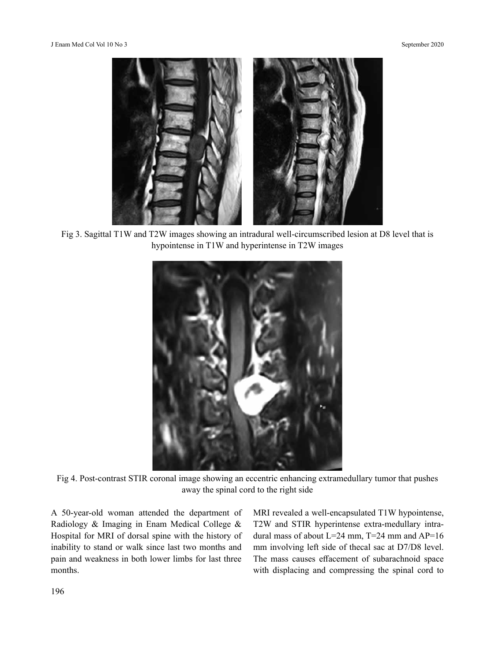

Fig 3. Sagittal T1W and T2W images showing an intradural well-circumscribed lesion at D8 level that is hypointense in T1W and hyperintense in T2W images



Fig 4. Post-contrast STIR coronal image showing an eccentric enhancing extramedullary tumor that pushes away the spinal cord to the right side

A 50-year-old woman attended the department of Radiology & Imaging in Enam Medical College & Hospital for MRI of dorsal spine with the history of inability to stand or walk since last two months and pain and weakness in both lower limbs for last three months.

MRI revealed a well-encapsulated T1W hypointense, T2W and STIR hyperintense extra-medullary intradural mass of about  $L=24$  mm,  $T=24$  mm and  $AP=16$ mm involving left side of thecal sac at D7/D8 level. The mass causes effacement of subarachnoid space with displacing and compressing the spinal cord to